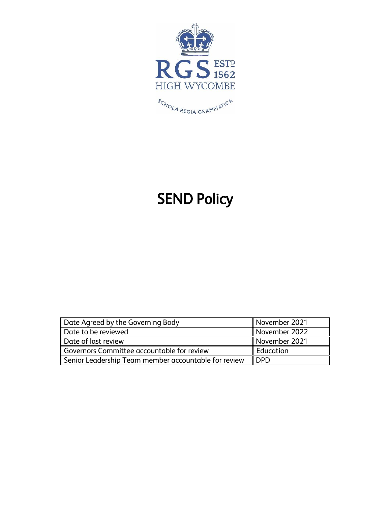

# SEND Policy

| Date Agreed by the Governing Body                         | November 2021 |
|-----------------------------------------------------------|---------------|
| ∥ Date to be reviewed                                     | November 2022 |
| Date of last review                                       | November 2021 |
| Governors Committee accountable for review                | Education     |
| $\,$ Senior Leadership Team member accountable for review | <b>DPD</b>    |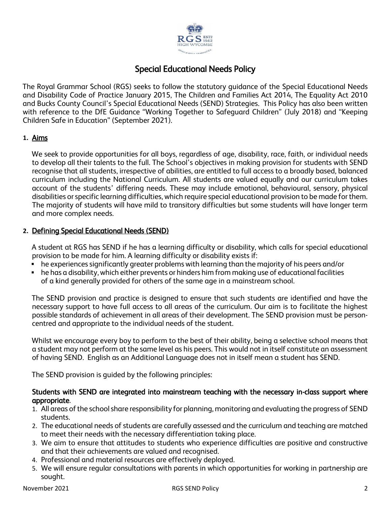

# Special Educational Needs Policy

The Royal Grammar School (RGS) seeks to follow the statutory guidance of the Special Educational Needs and Disability Code of Practice January 2015, The Children and Families Act 2014, The Equality Act 2010 and Bucks County Council's Special Educational Needs (SEND) Strategies. This Policy has also been written with reference to the DfE Guidance "Working Together to Safeguard Children" (July 2018) and "Keeping Children Safe in Education" (September 2021).

#### **1.** Aims

We seek to provide opportunities for all boys, regardless of age, disability, race, faith, or individual needs to develop all their talents to the full. The School's objectives in making provision for students with SEND recognise that all students, irrespective of abilities, are entitled to full access to a broadly based, balanced curriculum including the National Curriculum. All students are valued equally and our curriculum takes account of the students' differing needs. These may include emotional, behavioural, sensory, physical disabilities or specific learning difficulties, which require special educational provision to be made for them. The majority of students will have mild to transitory difficulties but some students will have longer term and more complex needs.

# **2.** Defining Special Educational Needs (SEND)

A student at RGS has SEND if he has a learning difficulty or disability, which calls for special educational provision to be made for him. A learning difficulty or disability exists if:

- he experiences significantly greater problems with learning than the majority of his peers and/or
- he has a disability, which either prevents or hinders him from making use of educational facilities of a kind generally provided for others of the same age in a mainstream school.

The SEND provision and practice is designed to ensure that such students are identified and have the necessary support to have full access to all areas of the curriculum. Our aim is to facilitate the highest possible standards of achievement in all areas of their development. The SEND provision must be personcentred and appropriate to the individual needs of the student.

Whilst we encourage every boy to perform to the best of their ability, being a selective school means that a student may not perform at the same level as his peers. This would not in itself constitute an assessment of having SEND. English as an Additional Language does not in itself mean a student has SEND.

The SEND provision is guided by the following principles:

#### Students with SEND are integrated into mainstream teaching with the necessary in-class support where appropriate.

- 1. All areas of the school share responsibility for planning, monitoring and evaluating the progress of SEND students.
- 2. The educational needs of students are carefully assessed and the curriculum and teaching are matched to meet their needs with the necessary differentiation taking place.
- 3. We aim to ensure that attitudes to students who experience difficulties are positive and constructive and that their achievements are valued and recognised.
- 4. Professional and material resources are effectively deployed.
- 5. We will ensure regular consultations with parents in which opportunities for working in partnership are sought.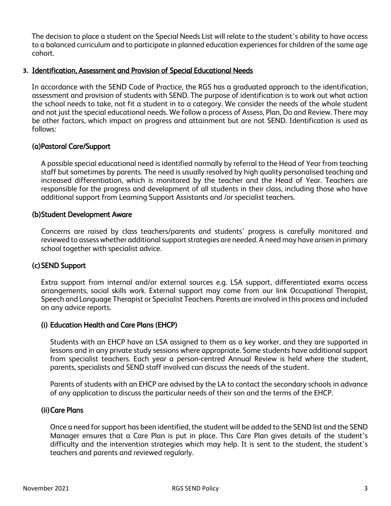The decision to place a student on the Special Needs List will relate to the student's ability to have access to a balanced curriculum and to participate in planned education experiences for children of the same age cohort.

#### **3.** Identification, Assessment and Provision of Special Educational Needs

In accordance with the SEND Code of Practice, the RGS has a graduated approach to the identification, assessment and provision of students with SEND. The purpose of identification is to work out what action the school needs to take, not fit a student in to a category. We consider the needs of the whole student and not just the special educational needs. We follow a process of Assess, Plan, Do and Review. There may be other factors, which impact on progress and attainment but are not SEND. Identification is used as follows:

#### (a)Pastoral Care/Support

A possible special educational need is identified normally by referral to the Head of Year from teaching staff but sometimes by parents. The need is usually resolved by high quality personalised teaching and increased differentiation, which is monitored by the teacher and the Head of Year. Teachers are responsible for the progress and development of all students in their class, including those who have additional support from Learning Support Assistants and /or specialist teachers.

#### (b)Student Development Aware

Concerns are raised by class teachers/parents and students' progress is carefully monitored and reviewed to assess whether additional support strategies are needed. A need may have arisen in primary school together with specialist advice.

#### (c)SEND Support

Extra support from internal and/or external sources e.g. LSA support, differentiated exams access arrangements, social skills work. External support may come from our link Occupational Therapist, Speech and Language Therapist or Specialist Teachers. Parents are involved in this process and included on any advice reports.

#### (i) Education Health and Care Plans (EHCP)

Students with an EHCP have an LSA assigned to them as a key worker, and they are supported in lessons and in any private study sessions where appropriate. Some students have additional support from specialist teachers. Each year a person-centred Annual Review is held where the student, parents, specialists and SEND staff involved can discuss the needs of the student.

Parents of students with an EHCP are advised by the LA to contact the secondary schools in advance of any application to discuss the particular needs of their son and the terms of the EHCP.

#### (ii)Care Plans

Once a need for support has been identified, the student will be added to the SEND list and the SEND Manager ensures that a Care Plan is put in place. This Care Plan gives details of the student's difficulty and the intervention strategies which may help. It is sent to the student, the student's teachers and parents and reviewed regularly.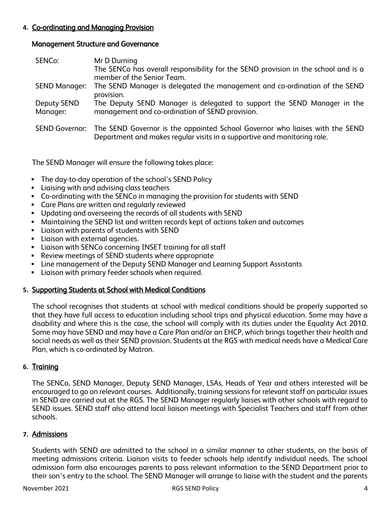# **4.** Co-ordinating and Managing Provision

#### Management Structure and Governance

| SENCo:                  | Mr D Durning                                                                                                                                             |
|-------------------------|----------------------------------------------------------------------------------------------------------------------------------------------------------|
|                         | The SENCo has overall responsibility for the SEND provision in the school and is a<br>member of the Senior Team.                                         |
| <b>SEND Manager:</b>    | The SEND Manager is delegated the management and co-ordination of the SEND<br>provision.                                                                 |
| Deputy SEND<br>Manager: | The Deputy SEND Manager is delegated to support the SEND Manager in the<br>management and co-ordination of SEND provision.                               |
| <b>SEND Governor:</b>   | The SEND Governor is the appointed School Governor who liaises with the SEND<br>Department and makes regular visits in a supportive and monitoring role. |

The SEND Manager will ensure the following takes place:

- The day-to-day operation of the school's SEND Policy
- Liaising with and advising class teachers
- Co-ordinating with the SENCo in managing the provision for students with SEND
- Care Plans are written and regularly reviewed
- Updating and overseeing the records of all students with SEND
- **■** Maintaining the SEND list and written records kept of actions taken and outcomes
- Liaison with parents of students with SEND
- Liaison with external agencies.
- **•** Liaison with SENCo concerning INSET training for all staff
- Review meetings of SEND students where appropriate
- Line management of the Deputy SEND Manager and Learning Support Assistants
- Liaison with primary feeder schools when required.

# **5.** Supporting Students at School with Medical Conditions

The school recognises that students at school with medical conditions should be properly supported so that they have full access to education including school trips and physical education. Some may have a disability and where this is the case, the school will comply with its duties under the Equality Act 2010. Some may have SEND and may have a Care Plan and/or an EHCP, which brings together their health and social needs as well as their SEND provision. Students at the RGS with medical needs have a Medical Care Plan, which is co-ordinated by Matron.

# **6.** Training

The SENCo, SEND Manager, Deputy SEND Manager, LSAs, Heads of Year and others interested will be encouraged to go on relevant courses. Additionally, training sessions for relevant staff on particular issues in SEND are carried out at the RGS. The SEND Manager regularly liaises with other schools with regard to SEND issues. SEND staff also attend local liaison meetings with Specialist Teachers and staff from other schools.

#### **7.** Admissions

Students with SEND are admitted to the school in a similar manner to other students, on the basis of meeting admissions criteria. Liaison visits to feeder schools help identify individual needs. The school admission form also encourages parents to pass relevant information to the SEND Department prior to their son's entry to the school. The SEND Manager will arrange to liaise with the student and the parents